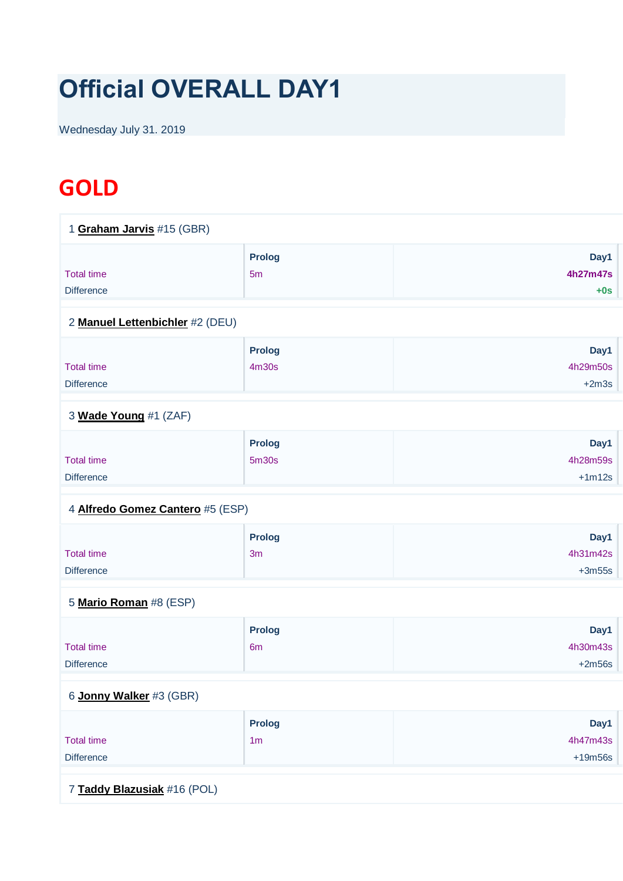## **Official OVERALL DAY1**

Wednesday July 31. 2019

## **GOLD**

| 1 Graham Jarvis #15 (GBR)              |                                 |                               |
|----------------------------------------|---------------------------------|-------------------------------|
| <b>Total time</b><br><b>Difference</b> | Prolog<br>5m                    | Day1<br>4h27m47s<br>$+0s$     |
| 2 Manuel Lettenbichler #2 (DEU)        |                                 |                               |
| <b>Total time</b><br><b>Difference</b> | <b>Prolog</b><br>4m30s          | Day1<br>4h29m50s<br>$+2m3s$   |
| 3 Wade Young #1 (ZAF)                  |                                 |                               |
| <b>Total time</b><br><b>Difference</b> | <b>Prolog</b><br>5m30s          | Day1<br>4h28m59s<br>$+1m12s$  |
| 4 Alfredo Gomez Cantero #5 (ESP)       |                                 |                               |
| <b>Total time</b><br><b>Difference</b> | <b>Prolog</b><br>3m             | Day1<br>4h31m42s<br>$+3m55s$  |
| 5 Mario Roman #8 (ESP)                 |                                 |                               |
| <b>Total time</b><br><b>Difference</b> | <b>Prolog</b><br>6 <sub>m</sub> | Day1<br>4h30m43s<br>$+2m56s$  |
| 6 Jonny Walker #3 (GBR)                |                                 |                               |
| <b>Total time</b><br><b>Difference</b> | <b>Prolog</b><br>1m             | Day1<br>4h47m43s<br>$+19m56s$ |
| 7 Taddy Blazusiak #16 (POL)            |                                 |                               |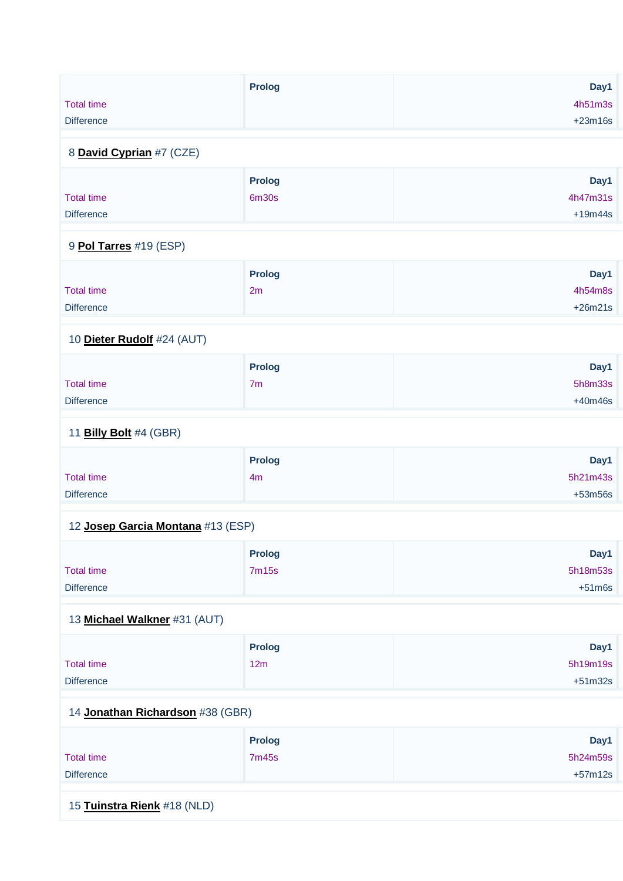| <b>Prolog</b><br>8 David Cyprian #7 (CZE)<br><b>Prolog</b><br>4h47m31s<br><b>6m30s</b><br>9 Pol Tarres #19 (ESP)<br><b>Prolog</b><br>Day1<br><b>Total time</b><br>4h54m8s<br>2m<br>$+26m21s$<br><b>Difference</b><br>10 Dieter Rudolf #24 (AUT)<br><b>Prolog</b><br>7 <sub>m</sub><br>11 <b>Billy Bolt</b> #4 (GBR)<br><b>Prolog</b><br>Day1<br><b>Total time</b><br>5h21m43s<br>4m<br>$+53m56s$<br><b>Difference</b><br>12 Josep Garcia Montana #13 (ESP)<br><b>Prolog</b><br><b>7m15s</b><br>13 Michael Walkner #31 (AUT)<br>Day1<br><b>Prolog</b><br>5h19m19s<br><b>Total time</b><br>12m<br><b>Difference</b><br>$+51m32s$<br>14 Jonathan Richardson #38 (GBR)<br><b>Prolog</b><br><b>7m45s</b> |                   |           |
|-----------------------------------------------------------------------------------------------------------------------------------------------------------------------------------------------------------------------------------------------------------------------------------------------------------------------------------------------------------------------------------------------------------------------------------------------------------------------------------------------------------------------------------------------------------------------------------------------------------------------------------------------------------------------------------------------------|-------------------|-----------|
|                                                                                                                                                                                                                                                                                                                                                                                                                                                                                                                                                                                                                                                                                                     |                   | Day1      |
|                                                                                                                                                                                                                                                                                                                                                                                                                                                                                                                                                                                                                                                                                                     | <b>Total time</b> | 4h51m3s   |
|                                                                                                                                                                                                                                                                                                                                                                                                                                                                                                                                                                                                                                                                                                     | <b>Difference</b> | $+23m16s$ |
|                                                                                                                                                                                                                                                                                                                                                                                                                                                                                                                                                                                                                                                                                                     |                   |           |
|                                                                                                                                                                                                                                                                                                                                                                                                                                                                                                                                                                                                                                                                                                     |                   |           |
|                                                                                                                                                                                                                                                                                                                                                                                                                                                                                                                                                                                                                                                                                                     |                   | Day1      |
|                                                                                                                                                                                                                                                                                                                                                                                                                                                                                                                                                                                                                                                                                                     | <b>Total time</b> |           |
|                                                                                                                                                                                                                                                                                                                                                                                                                                                                                                                                                                                                                                                                                                     | <b>Difference</b> | $+19m44s$ |
|                                                                                                                                                                                                                                                                                                                                                                                                                                                                                                                                                                                                                                                                                                     |                   |           |
|                                                                                                                                                                                                                                                                                                                                                                                                                                                                                                                                                                                                                                                                                                     |                   |           |
|                                                                                                                                                                                                                                                                                                                                                                                                                                                                                                                                                                                                                                                                                                     |                   |           |
|                                                                                                                                                                                                                                                                                                                                                                                                                                                                                                                                                                                                                                                                                                     |                   |           |
|                                                                                                                                                                                                                                                                                                                                                                                                                                                                                                                                                                                                                                                                                                     |                   |           |
|                                                                                                                                                                                                                                                                                                                                                                                                                                                                                                                                                                                                                                                                                                     |                   |           |
|                                                                                                                                                                                                                                                                                                                                                                                                                                                                                                                                                                                                                                                                                                     |                   | Day1      |
|                                                                                                                                                                                                                                                                                                                                                                                                                                                                                                                                                                                                                                                                                                     | <b>Total time</b> | 5h8m33s   |
|                                                                                                                                                                                                                                                                                                                                                                                                                                                                                                                                                                                                                                                                                                     | <b>Difference</b> | $+40m46s$ |
|                                                                                                                                                                                                                                                                                                                                                                                                                                                                                                                                                                                                                                                                                                     |                   |           |
|                                                                                                                                                                                                                                                                                                                                                                                                                                                                                                                                                                                                                                                                                                     |                   |           |
|                                                                                                                                                                                                                                                                                                                                                                                                                                                                                                                                                                                                                                                                                                     |                   |           |
|                                                                                                                                                                                                                                                                                                                                                                                                                                                                                                                                                                                                                                                                                                     |                   |           |
|                                                                                                                                                                                                                                                                                                                                                                                                                                                                                                                                                                                                                                                                                                     |                   |           |
|                                                                                                                                                                                                                                                                                                                                                                                                                                                                                                                                                                                                                                                                                                     |                   |           |
|                                                                                                                                                                                                                                                                                                                                                                                                                                                                                                                                                                                                                                                                                                     |                   | Day1      |
|                                                                                                                                                                                                                                                                                                                                                                                                                                                                                                                                                                                                                                                                                                     | <b>Total time</b> | 5h18m53s  |
|                                                                                                                                                                                                                                                                                                                                                                                                                                                                                                                                                                                                                                                                                                     | <b>Difference</b> | $+51m6s$  |
|                                                                                                                                                                                                                                                                                                                                                                                                                                                                                                                                                                                                                                                                                                     |                   |           |
|                                                                                                                                                                                                                                                                                                                                                                                                                                                                                                                                                                                                                                                                                                     |                   |           |
|                                                                                                                                                                                                                                                                                                                                                                                                                                                                                                                                                                                                                                                                                                     |                   |           |
|                                                                                                                                                                                                                                                                                                                                                                                                                                                                                                                                                                                                                                                                                                     |                   |           |
|                                                                                                                                                                                                                                                                                                                                                                                                                                                                                                                                                                                                                                                                                                     |                   |           |
|                                                                                                                                                                                                                                                                                                                                                                                                                                                                                                                                                                                                                                                                                                     |                   |           |
|                                                                                                                                                                                                                                                                                                                                                                                                                                                                                                                                                                                                                                                                                                     |                   | Day1      |
|                                                                                                                                                                                                                                                                                                                                                                                                                                                                                                                                                                                                                                                                                                     | <b>Total time</b> | 5h24m59s  |
|                                                                                                                                                                                                                                                                                                                                                                                                                                                                                                                                                                                                                                                                                                     | <b>Difference</b> | $+57m12s$ |

15 **[Tuinstra Rienk](https://www.redbullromaniacs.com/for-competitors/profile/?e=rbr2019&b=18)** #18 (NLD)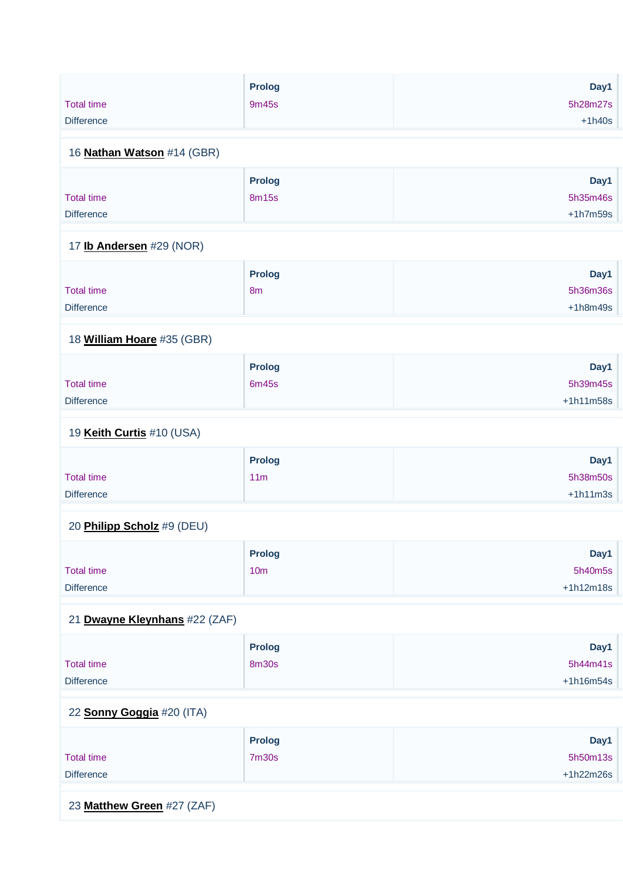| <b>Total time</b><br><b>Difference</b> | <b>Prolog</b><br>9m45s          | Day1<br>5h28m27s<br>$+1h40s$    |
|----------------------------------------|---------------------------------|---------------------------------|
| 16 <b>Nathan Watson</b> #14 (GBR)      |                                 |                                 |
| <b>Total time</b><br><b>Difference</b> | <b>Prolog</b><br><b>8m15s</b>   | Day1<br>5h35m46s<br>$+1h7m59s$  |
| 17 Ib Andersen #29 (NOR)               |                                 |                                 |
| <b>Total time</b><br><b>Difference</b> | <b>Prolog</b><br>8 <sub>m</sub> | Day1<br>5h36m36s<br>$+1h8m49s$  |
| 18 <b>William Hoare</b> #35 (GBR)      |                                 |                                 |
| <b>Total time</b><br><b>Difference</b> | <b>Prolog</b><br>6m45s          | Day1<br>5h39m45s<br>+1h11m58s   |
| 19 Keith Curtis #10 (USA)              |                                 |                                 |
| <b>Total time</b><br><b>Difference</b> | <b>Prolog</b><br>11m            | Day1<br>5h38m50s<br>$+1h11m3s$  |
| 20 Philipp Scholz #9 (DEU)             |                                 |                                 |
| <b>Total time</b><br><b>Difference</b> | <b>Prolog</b><br>10m            | Day1<br>5h40m5s<br>$+1h12m18s$  |
| 21 Dwayne Kleynhans #22 (ZAF)          |                                 |                                 |
| <b>Total time</b><br><b>Difference</b> | <b>Prolog</b><br><b>8m30s</b>   | Day1<br>5h44m41s<br>$+1h16m54s$ |
| 22 Sonny Goggia #20 (ITA)              |                                 |                                 |
| <b>Total time</b><br><b>Difference</b> | <b>Prolog</b><br><b>7m30s</b>   | Day1<br>5h50m13s<br>+1h22m26s   |

23 **[Matthew Green](https://www.redbullromaniacs.com/for-competitors/profile/?e=rbr2019&b=27)** #27 (ZAF)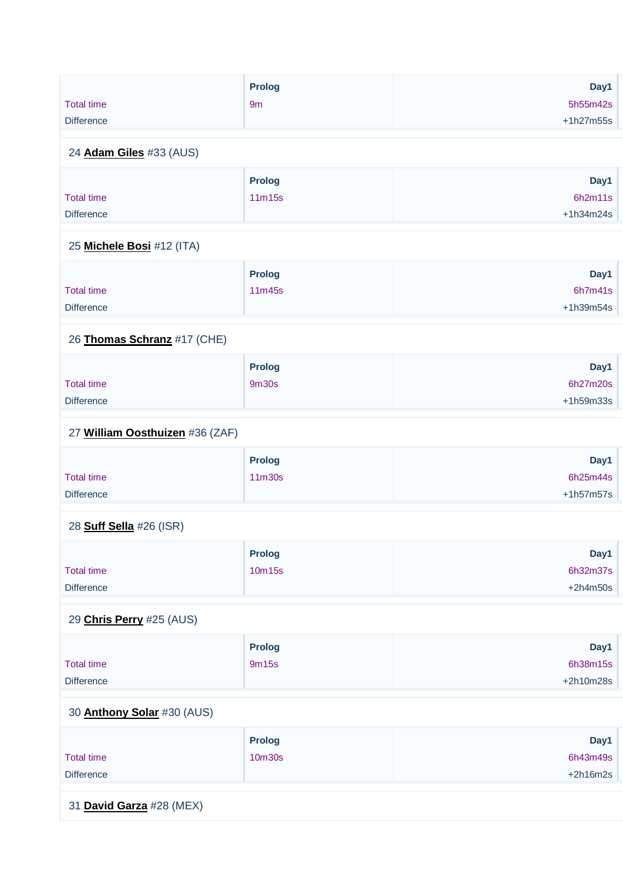|                                   | <b>Prolog</b> | Day1        |
|-----------------------------------|---------------|-------------|
| <b>Total time</b>                 | 9m            | 5h55m42s    |
|                                   |               |             |
| <b>Difference</b>                 |               | $+1h27m55s$ |
|                                   |               |             |
| 24 Adam Giles #33 (AUS)           |               |             |
|                                   | <b>Prolog</b> | Day1        |
| <b>Total time</b>                 | 11m15s        | 6h2m11s     |
| <b>Difference</b>                 |               | $+1h34m24s$ |
|                                   |               |             |
|                                   |               |             |
| 25 Michele Bosi #12 (ITA)         |               |             |
|                                   | <b>Prolog</b> | Day1        |
| <b>Total time</b>                 | 11m45s        | 6h7m41s     |
|                                   |               |             |
| <b>Difference</b>                 |               | $+1h39m54s$ |
|                                   |               |             |
| 26 Thomas Schranz #17 (CHE)       |               |             |
|                                   | <b>Prolog</b> | Day1        |
| <b>Total time</b>                 | <b>9m30s</b>  | 6h27m20s    |
|                                   |               |             |
| <b>Difference</b>                 |               | +1h59m33s   |
| 27 William Oosthuizen #36 (ZAF)   |               |             |
|                                   |               |             |
|                                   | <b>Prolog</b> | Day1        |
| <b>Total time</b>                 | 11m30s        | 6h25m44s    |
| <b>Difference</b>                 |               | $+1h57m57s$ |
|                                   |               |             |
| 28 <b>Suff Sella</b> #26 (ISR)    |               |             |
|                                   |               |             |
|                                   | Prolog        | Day1        |
| <b>Total time</b>                 | 10m15s        | 6h32m37s    |
| <b>Difference</b>                 |               | $+2h4m50s$  |
|                                   |               |             |
| 29 Chris Perry #25 (AUS)          |               |             |
|                                   |               |             |
|                                   | <b>Prolog</b> | Day1        |
| <b>Total time</b>                 | 9m15s         | 6h38m15s    |
| <b>Difference</b>                 |               | $+2h10m28s$ |
|                                   |               |             |
| 30 <b>Anthony Solar</b> #30 (AUS) |               |             |
|                                   |               |             |
|                                   | <b>Prolog</b> | Day1        |
| <b>Total time</b>                 | 10m30s        | 6h43m49s    |
| <b>Difference</b>                 |               | $+2h16m2s$  |
|                                   |               |             |
| 31 David Garza #28 (MEX)          |               |             |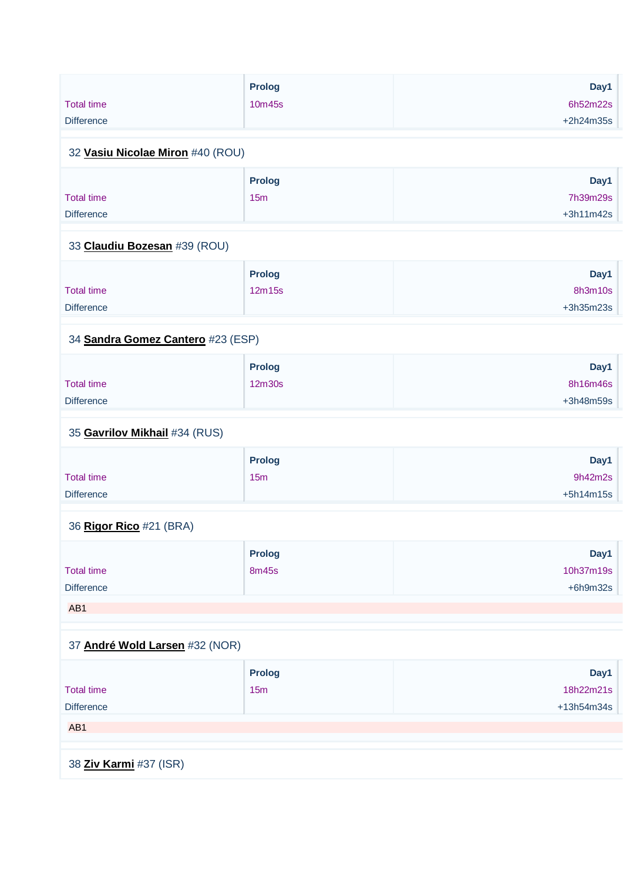|                                   | <b>Prolog</b> | Day1        |
|-----------------------------------|---------------|-------------|
| <b>Total time</b>                 | 10m45s        | 6h52m22s    |
| <b>Difference</b>                 |               | $+2h24m35s$ |
|                                   |               |             |
| 32 Vasiu Nicolae Miron #40 (ROU)  |               |             |
|                                   | Prolog        | Day1        |
| <b>Total time</b>                 | 15m           | 7h39m29s    |
| <b>Difference</b>                 |               | $+3h11m42s$ |
|                                   |               |             |
| 33 Claudiu Bozesan #39 (ROU)      |               |             |
|                                   | <b>Prolog</b> | Day1        |
| <b>Total time</b>                 | 12m15s        | 8h3m10s     |
|                                   |               |             |
| <b>Difference</b>                 |               | $+3h35m23s$ |
| 34 Sandra Gomez Cantero #23 (ESP) |               |             |
|                                   | <b>Prolog</b> | Day1        |
| <b>Total time</b>                 | 12m30s        | 8h16m46s    |
|                                   |               |             |
| <b>Difference</b>                 |               | +3h48m59s   |
| 35 Gavrilov Mikhail #34 (RUS)     |               |             |
|                                   | <b>Prolog</b> | Day1        |
| <b>Total time</b>                 | 15m           | 9h42m2s     |
|                                   |               |             |
| <b>Difference</b>                 |               | +5h14m15s   |
| 36 <b>Rigor Rico</b> #21 (BRA)    |               |             |
|                                   | <b>Prolog</b> | Day1        |
| <b>Total time</b>                 | <b>8m45s</b>  | 10h37m19s   |
| <b>Difference</b>                 |               | $+6h9m32s$  |
|                                   |               |             |
| AB1                               |               |             |
|                                   |               |             |
| 37 André Wold Larsen #32 (NOR)    |               |             |
|                                   | <b>Prolog</b> | Day1        |
| <b>Total time</b>                 | 15m           | 18h22m21s   |
| <b>Difference</b>                 |               | +13h54m34s  |
|                                   |               |             |
| AB1                               |               |             |
|                                   |               |             |
| 38 Ziv Karmi #37 (ISR)            |               |             |